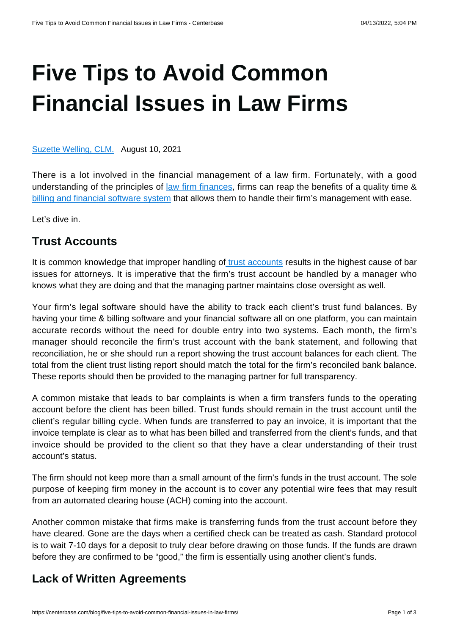# **[Five Tips to Avoid Common](https://centerbase.com/blog/five-tips-to-avoid-common-financial-issues-in-law-firms/) [Financial Issues in Law Firms](https://centerbase.com/blog/five-tips-to-avoid-common-financial-issues-in-law-firms/)**

[Suzette Welling, CLM.](https://centerbase.com/blog/author/suzette-welling/) August 10, 2021

There is a lot involved in the financial management of a law firm. Fortunately, with a good understanding of the principles of [law firm finances](https://centerbase.com/blog/the-complete-guide-to-your-law-firms-finances/), firms can reap the benefits of a quality time & [billing and financial software system](https://centerbase.com/features/legal-billing/) that allows them to handle their firm's management with ease.

Let's dive in.

#### **Trust Accounts**

It is common knowledge that improper handling o[f trust accounts](https://centerbase.com/features/legal-accounting/) results in the highest cause of bar issues for attorneys. It is imperative that the firm's trust account be handled by a manager who knows what they are doing and that the managing partner maintains close oversight as well.

Your firm's legal software should have the ability to track each client's trust fund balances. By having your time & billing software and your financial software all on one platform, you can maintain accurate records without the need for double entry into two systems. Each month, the firm's manager should reconcile the firm's trust account with the bank statement, and following that reconciliation, he or she should run a report showing the trust account balances for each client. The total from the client trust listing report should match the total for the firm's reconciled bank balance. These reports should then be provided to the managing partner for full transparency.

A common mistake that leads to bar complaints is when a firm transfers funds to the operating account before the client has been billed. Trust funds should remain in the trust account until the client's regular billing cycle. When funds are transferred to pay an invoice, it is important that the invoice template is clear as to what has been billed and transferred from the client's funds, and that invoice should be provided to the client so that they have a clear understanding of their trust account's status.

The firm should not keep more than a small amount of the firm's funds in the trust account. The sole purpose of keeping firm money in the account is to cover any potential wire fees that may result from an automated clearing house (ACH) coming into the account.

Another common mistake that firms make is transferring funds from the trust account before they have cleared. Gone are the days when a certified check can be treated as cash. Standard protocol is to wait 7-10 days for a deposit to truly clear before drawing on those funds. If the funds are drawn before they are confirmed to be "good," the firm is essentially using another client's funds.

### **Lack of Written Agreements**